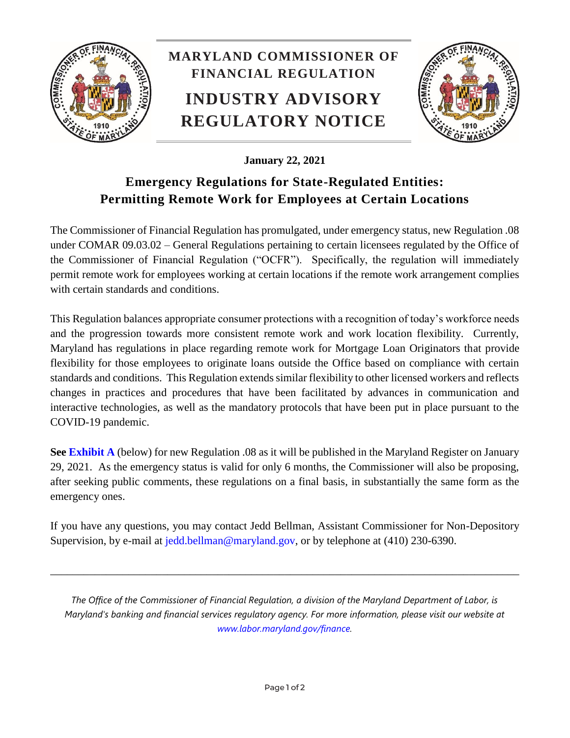

## **January 22, 2021**

# **Emergency Regulations for State-Regulated Entities: Permitting Remote Work for Employees at Certain Locations**

The Commissioner of Financial Regulation has promulgated, under emergency status, new Regulation .08 under COMAR 09.03.02 – General Regulations pertaining to certain licensees regulated by the Office of the Commissioner of Financial Regulation ("OCFR"). Specifically, the regulation will immediately permit remote work for employees working at certain locations if the remote work arrangement complies with certain standards and conditions.

This Regulation balances appropriate consumer protections with a recognition of today's workforce needs and the progression towards more consistent remote work and work location flexibility. Currently, Maryland has regulations in place regarding remote work for Mortgage Loan Originators that provide flexibility for those employees to originate loans outside the Office based on compliance with certain standards and conditions. This Regulation extends similar flexibility to other licensed workers and reflects changes in practices and procedures that have been facilitated by advances in communication and interactive technologies, as well as the mandatory protocols that have been put in place pursuant to the COVID-19 pandemic.

**See [Exhibit A](#page-2-0)** (below) for new Regulation .08 as it will be published in the Maryland Register on January 29, 2021. As the emergency status is valid for only 6 months, the Commissioner will also be proposing, after seeking public comments, these regulations on a final basis, in substantially the same form as the emergency ones.

If you have any questions, you may contact Jedd Bellman, Assistant Commissioner for Non-Depository Supervision, by e-mail at [jedd.bellman@maryland.gov,](mailto:jedd.bellman@maryland.gov) or by telephone at (410) 230-6390.

\_\_\_\_\_\_\_\_\_\_\_\_\_\_\_\_\_\_\_\_\_\_\_\_\_\_\_\_\_\_\_\_\_\_\_\_\_\_\_\_\_\_\_\_\_\_\_\_\_\_\_\_\_\_\_\_\_\_\_\_\_\_\_\_\_\_\_\_\_\_\_\_\_\_\_\_\_\_\_\_\_\_\_\_

*The Office of the Commissioner of Financial Regulation, a division of the Maryland Department of Labor, is Maryland's banking and financial services regulatory agency. For more information, please visit our website at [www.labor.maryland.gov/finance.](http://www.labor.maryland.gov/finance)*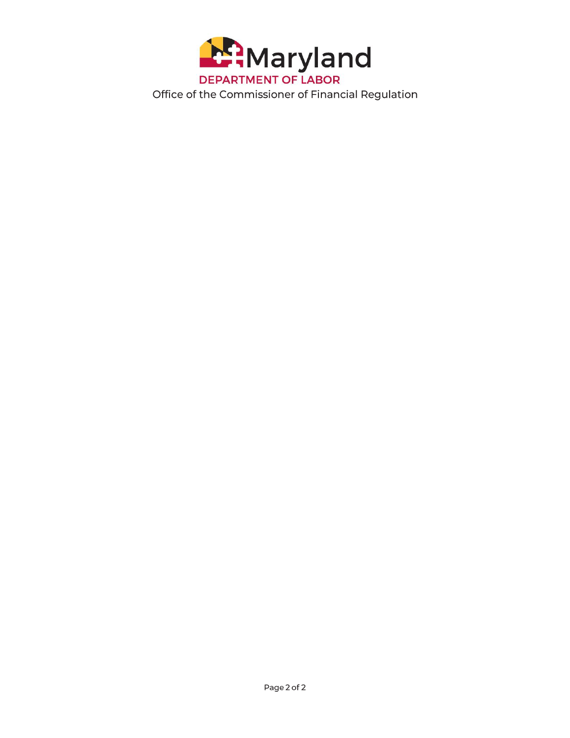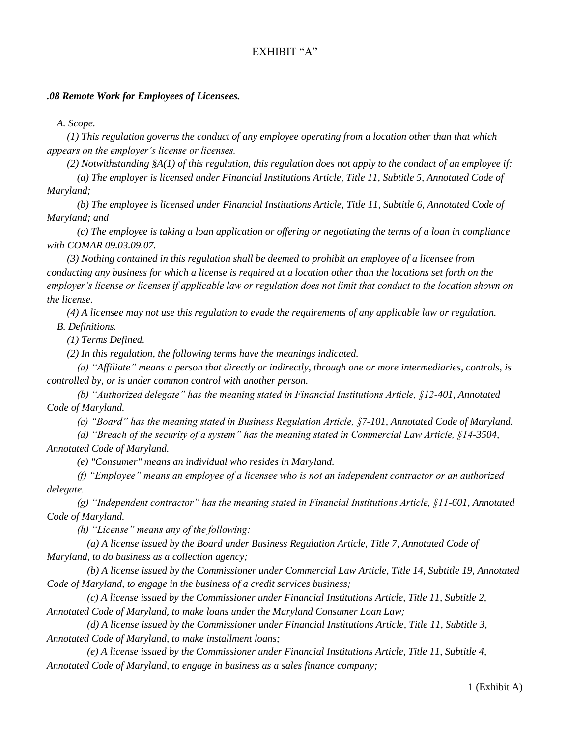#### <span id="page-2-0"></span>*.08 Remote Work for Employees of Licensees.*

*A. Scope.* 

*(1) This regulation governs the conduct of any employee operating from a location other than that which appears on the employer's license or licenses.*

*(2) Notwithstanding §A(1) of this regulation, this regulation does not apply to the conduct of an employee if:*

*(a) The employer is licensed under Financial Institutions Article, Title 11, Subtitle 5, Annotated Code of Maryland;*

*(b) The employee is licensed under Financial Institutions Article, Title 11, Subtitle 6, Annotated Code of Maryland; and*

*(c) The employee is taking a loan application or offering or negotiating the terms of a loan in compliance with COMAR 09.03.09.07.*

*(3) Nothing contained in this regulation shall be deemed to prohibit an employee of a licensee from conducting any business for which a license is required at a location other than the locations set forth on the employer's license or licenses if applicable law or regulation does not limit that conduct to the location shown on the license.* 

*(4) A licensee may not use this regulation to evade the requirements of any applicable law or regulation. B. Definitions.*

*(1) Terms Defined.* 

*(2) In this regulation, the following terms have the meanings indicated.*

*(a) "Affiliate" means a person that directly or indirectly, through one or more intermediaries, controls, is controlled by, or is under common control with another person.*

*(b) "Authorized delegate" has the meaning stated in Financial Institutions Article, §12-401, Annotated Code of Maryland.*

*(c) "Board" has the meaning stated in Business Regulation Article, §7-101, Annotated Code of Maryland.*

*(d) "Breach of the security of a system" has the meaning stated in Commercial Law Article, §14-3504, Annotated Code of Maryland.*

*(e) "Consumer" means an individual who resides in Maryland.*

*(f) "Employee" means an employee of a licensee who is not an independent contractor or an authorized delegate.*

*(g) "Independent contractor" has the meaning stated in Financial Institutions Article, §11-601, Annotated Code of Maryland.*

*(h) "License" means any of the following:*

*(a) A license issued by the Board under Business Regulation Article, Title 7, Annotated Code of Maryland, to do business as a collection agency;*

*(b) A license issued by the Commissioner under Commercial Law Article, Title 14, Subtitle 19, Annotated Code of Maryland, to engage in the business of a credit services business;*

*(c) A license issued by the Commissioner under Financial Institutions Article, Title 11, Subtitle 2, Annotated Code of Maryland, to make loans under the Maryland Consumer Loan Law;*

*(d) A license issued by the Commissioner under Financial Institutions Article, Title 11, Subtitle 3, Annotated Code of Maryland, to make installment loans;*

*(e) A license issued by the Commissioner under Financial Institutions Article, Title 11, Subtitle 4, Annotated Code of Maryland, to engage in business as a sales finance company;*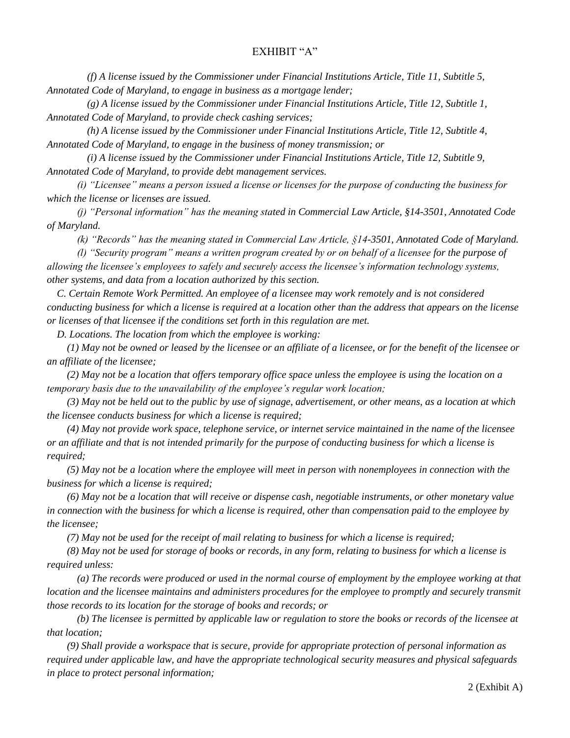*(f) A license issued by the Commissioner under Financial Institutions Article, Title 11, Subtitle 5, Annotated Code of Maryland, to engage in business as a mortgage lender;*

*(g) A license issued by the Commissioner under Financial Institutions Article, Title 12, Subtitle 1, Annotated Code of Maryland, to provide check cashing services;*

*(h) A license issued by the Commissioner under Financial Institutions Article, Title 12, Subtitle 4, Annotated Code of Maryland, to engage in the business of money transmission; or*

*(i) A license issued by the Commissioner under Financial Institutions Article, Title 12, Subtitle 9, Annotated Code of Maryland, to provide debt management services.*

*(i) "Licensee" means a person issued a license or licenses for the purpose of conducting the business for which the license or licenses are issued.*

*(j) "Personal information" has the meaning stated in Commercial Law Article, §14-3501, Annotated Code of Maryland.*

*(k) "Records" has the meaning stated in Commercial Law Article, §14-3501, Annotated Code of Maryland.*

*(l) "Security program" means a written program created by or on behalf of a licensee for the purpose of allowing the licensee's employees to safely and securely access the licensee's information technology systems, other systems, and data from a location authorized by this section.* 

*C. Certain Remote Work Permitted. An employee of a licensee may work remotely and is not considered conducting business for which a license is required at a location other than the address that appears on the license or licenses of that licensee if the conditions set forth in this regulation are met.*

*D. Locations. The location from which the employee is working:*

*(1) May not be owned or leased by the licensee or an affiliate of a licensee, or for the benefit of the licensee or an affiliate of the licensee;* 

*(2) May not be a location that offers temporary office space unless the employee is using the location on a temporary basis due to the unavailability of the employee's regular work location;*

*(3) May not be held out to the public by use of signage, advertisement, or other means, as a location at which the licensee conducts business for which a license is required;*

*(4) May not provide work space, telephone service, or internet service maintained in the name of the licensee or an affiliate and that is not intended primarily for the purpose of conducting business for which a license is required;*

*(5) May not be a location where the employee will meet in person with nonemployees in connection with the business for which a license is required;*

*(6) May not be a location that will receive or dispense cash, negotiable instruments, or other monetary value in connection with the business for which a license is required, other than compensation paid to the employee by the licensee;*

*(7) May not be used for the receipt of mail relating to business for which a license is required;* 

*(8) May not be used for storage of books or records, in any form, relating to business for which a license is required unless:*

*(a) The records were produced or used in the normal course of employment by the employee working at that location and the licensee maintains and administers procedures for the employee to promptly and securely transmit those records to its location for the storage of books and records; or*

*(b) The licensee is permitted by applicable law or regulation to store the books or records of the licensee at that location;*

*(9) Shall provide a workspace that is secure, provide for appropriate protection of personal information as required under applicable law, and have the appropriate technological security measures and physical safeguards in place to protect personal information;* 

2 (Exhibit A)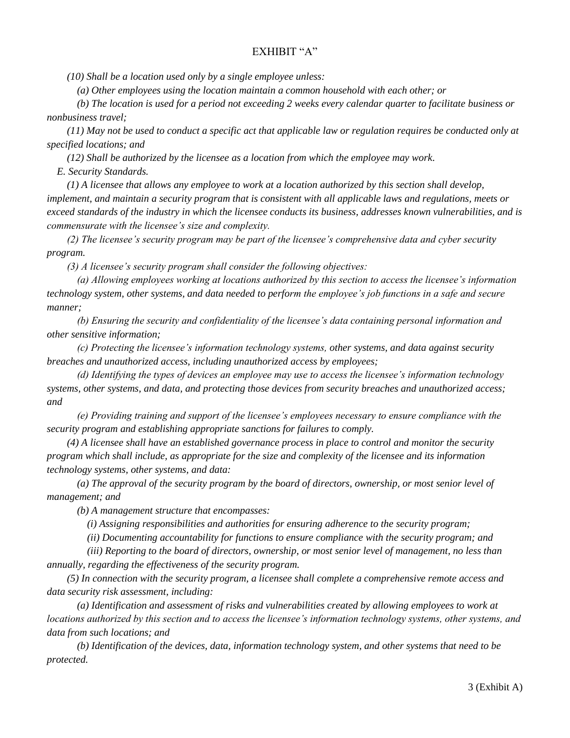*(10) Shall be a location used only by a single employee unless:*

*(a) Other employees using the location maintain a common household with each other; or* 

*(b) The location is used for a period not exceeding 2 weeks every calendar quarter to facilitate business or nonbusiness travel;* 

*(11) May not be used to conduct a specific act that applicable law or regulation requires be conducted only at specified locations; and*

*(12) Shall be authorized by the licensee as a location from which the employee may work.*

*E. Security Standards.*

*(1) A licensee that allows any employee to work at a location authorized by this section shall develop, implement, and maintain a security program that is consistent with all applicable laws and regulations, meets or exceed standards of the industry in which the licensee conducts its business, addresses known vulnerabilities, and is commensurate with the licensee's size and complexity.*

*(2) The licensee's security program may be part of the licensee's comprehensive data and cyber security program.*

*(3) A licensee's security program shall consider the following objectives:*

*(a) Allowing employees working at locations authorized by this section to access the licensee's information technology system, other systems, and data needed to perform the employee's job functions in a safe and secure manner;*

*(b) Ensuring the security and confidentiality of the licensee's data containing personal information and other sensitive information;*

*(c) Protecting the licensee's information technology systems, other systems, and data against security breaches and unauthorized access, including unauthorized access by employees;* 

*(d) Identifying the types of devices an employee may use to access the licensee's information technology systems, other systems, and data, and protecting those devices from security breaches and unauthorized access; and* 

*(e) Providing training and support of the licensee's employees necessary to ensure compliance with the security program and establishing appropriate sanctions for failures to comply.*

*(4) A licensee shall have an established governance process in place to control and monitor the security program which shall include, as appropriate for the size and complexity of the licensee and its information technology systems, other systems, and data:*

*(a) The approval of the security program by the board of directors, ownership, or most senior level of management; and*

*(b) A management structure that encompasses:*

*(i) Assigning responsibilities and authorities for ensuring adherence to the security program;*

*(ii) Documenting accountability for functions to ensure compliance with the security program; and*

*(iii) Reporting to the board of directors, ownership, or most senior level of management, no less than annually, regarding the effectiveness of the security program.*

*(5) In connection with the security program, a licensee shall complete a comprehensive remote access and data security risk assessment, including:*

*(a) Identification and assessment of risks and vulnerabilities created by allowing employees to work at locations authorized by this section and to access the licensee's information technology systems, other systems, and data from such locations; and*

*(b) Identification of the devices, data, information technology system, and other systems that need to be protected.*